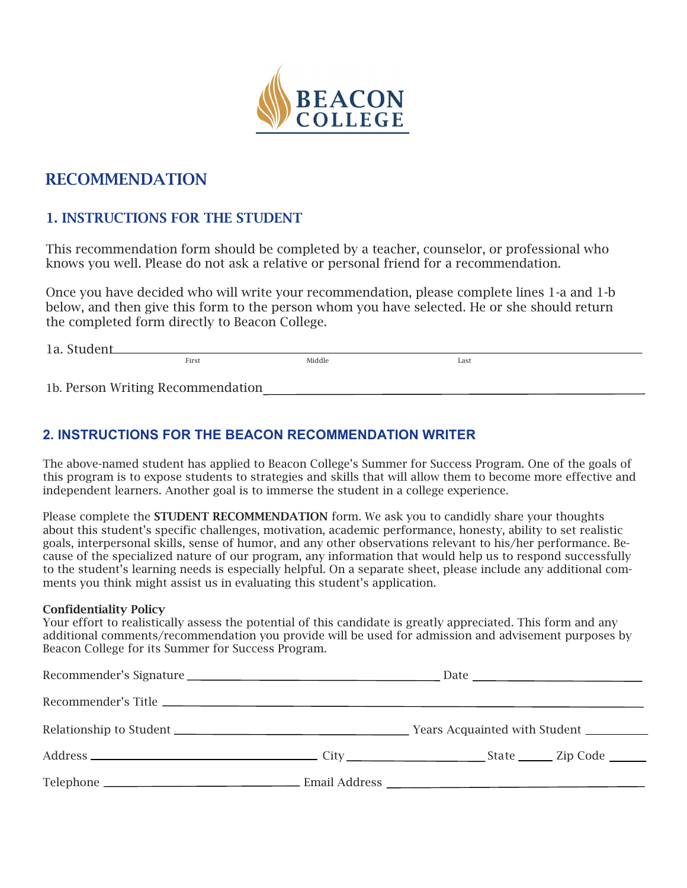

# **RECOMMENDATION**

## **1. INSTRUCTIONS FOR THE STUDENT**

This recommendation form should be completed by a teacher, counselor, or professional who knows you well. Please do not ask a relative or personal friend for a recommendation.

Once you have decided who will write your recommendation, please complete lines 1-a and 1-b below, and then give this form to the person whom you have selected. He or she should return the completed form directly to Beacon College.

| 1a.<br>$\sim$<br>൧ |       |        |      |
|--------------------|-------|--------|------|
|                    | First | Middle | Last |
|                    |       |        |      |

1b. Person Writing Recommendation

### **2. INSTRUCTIONS FOR THE BEACON RECOMMENDATION WRITER**

The above-named student has applied to Beacon College's Summer for Success Program. One of the goals of this program is to expose students to strategies and skills that will allow them to become more effective and independent learners. Another goal is to immerse the student in a college experience.

Please complete the **STUDENT RECOMMENDATION** form. We ask you to candidly share your thoughts about this student's specific challenges, motivation, academic performance, honesty, ability to set realistic goals, interpersonal skills, sense of humor, and any other observations relevant to his/her performance. Because of the specialized nature of our program, any information that would help us to respond successfully to the student's learning needs is especially helpful. On a separate sheet, please include any additional comments you think might assist us in evaluating this student's application.

#### **Confidentiality Policy**

Your effort to realistically assess the potential of this candidate is greatly appreciated. This form and any additional comments/recommendation you provide will be used for admission and advisement purposes by Beacon College for its Summer for Success Program.